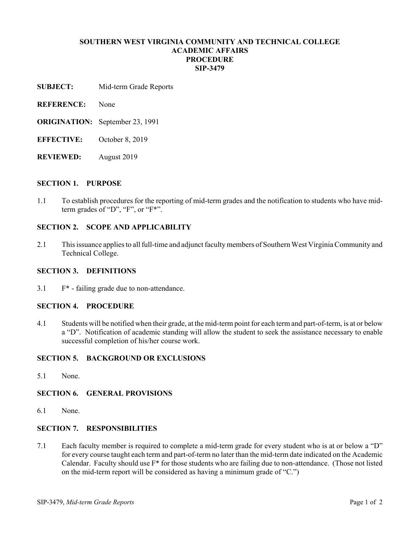# **SOUTHERN WEST VIRGINIA COMMUNITY AND TECHNICAL COLLEGE ACADEMIC AFFAIRS PROCEDURE SIP-3479**

- **SUBJECT:** Mid-term Grade Reports
- **REFERENCE:** None
- **ORIGINATION:** September 23, 1991
- **EFFECTIVE:** October 8, 2019
- **REVIEWED:** August 2019

#### **SECTION 1. PURPOSE**

1.1 To establish procedures for the reporting of mid-term grades and the notification to students who have midterm grades of "D", "F", or "F<sup>\*".</sup>

# **SECTION 2. SCOPE AND APPLICABILITY**

2.1 This issuance applies to all full-time and adjunct faculty members of Southern West Virginia Community and Technical College.

#### **SECTION 3. DEFINITIONS**

3.1 F\* - failing grade due to non-attendance.

#### **SECTION 4. PROCEDURE**

4.1 Students will be notified when their grade, at the mid-term point for each term and part-of-term, is at or below a "D". Notification of academic standing will allow the student to seek the assistance necessary to enable successful completion of his/her course work.

# **SECTION 5. BACKGROUND OR EXCLUSIONS**

5.1 None.

# **SECTION 6. GENERAL PROVISIONS**

6.1 None.

# **SECTION 7. RESPONSIBILITIES**

7.1 Each faculty member is required to complete a mid-term grade for every student who is at or below a "D" for every course taught each term and part-of-term no later than the mid-term date indicated on the Academic Calendar. Faculty should use F\* for those students who are failing due to non-attendance. (Those not listed on the mid-term report will be considered as having a minimum grade of "C.")